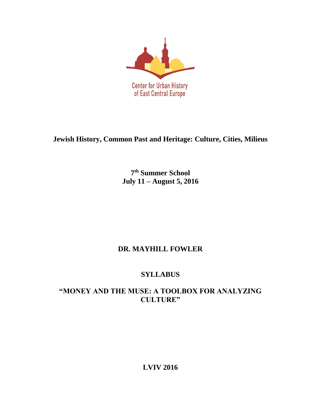

**Jewish History, Common Past and Heritage: Culture, Cities, Milieus**

**7 th Summer School July 11 – August 5, 2016**

# **DR. MAYHILL FOWLER**

# **SYLLABUS**

## **"MONEY AND THE MUSE: A TOOLBOX FOR ANALYZING CULTURE"**

**LVIV 2016**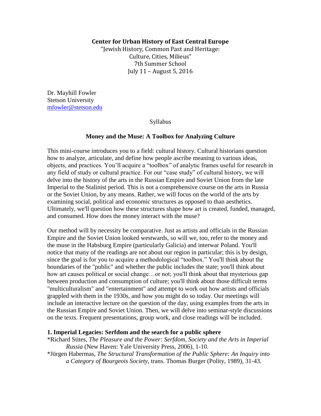## **Center for Urban History of East Central Europe**

"Jewish History, Common Past and Heritage: Culture, Cities, Milieus" 7th Summer School July 11 – August 5, 2016

Dr. Mayhill Fowler Stetson University [mfowler@stetson.edu](mailto:mfowler@stetson.edu)

Syllabus

#### **Money and the Muse: A Toolbox for Analyzing Culture**

This mini-course introduces you to a field: cultural history. Cultural historians question how to analyze, articulate, and define how people ascribe meaning to various ideas, objects, and practices. You'll acquire a "toolbox" of analytic frames useful for research in any field of study or cultural practice. For our "case study" of cultural history, we will delve into the history of the arts in the Russian Empire and Soviet Union from the late Imperial to the Stalinist period. This is not a comprehensive course on the arts in Russia or the Soviet Union, by any means. Rather, we will focus on the world of the arts by examining social, political and economic structures as opposed to than aesthetics. Ultimately, we'll question how these structures shape how art is created, funded, managed, and consumed. How does the money interact with the muse?

Our method will by necessity be comparative. Just as artists and officials in the Russian Empire and the Soviet Union looked westwards, so will we, too, refer to the money and the muse in the Habsburg Empire (particularly Galicia) and interwar Poland. You'll notice that many of the readings are not about our region in particular; this is by design, since the goal is for you to acquire a methodological "toolbox." You'll think about the boundaries of the "public" and whether the public includes the state; you'll think about how art causes political or social change...or not; you'll think about that mysterious gap between production and consumption of culture; you'll think about those difficult terms "multiculturalism" and "entertainment" and attempt to work out how artists and officials grappled with them in the 1930s, and how you might do so today. Our meetings will include an interactive lecture on the question of the day, using examples from the arts in the Russian Empire and Soviet Union. Then, we will delve into seminar-style discussions on the texts. Frequent presentations, group work, and close readings will be included.

#### **1. Imperial Legacies: Serfdom and the search for a public sphere**

\*Richard Stites, *The Pleasure and the Power: Serfdom, Society and the Arts in Imperial Russia* (New Haven: Yale University Press, 2006), 1-10. \*Jürgen Habermas, *The Structural Transformation of the Public Sphere: An Inquiry into a Category of Bourgeois Society*, trans. Thomas Burger (Polity, 1989), 31-43.